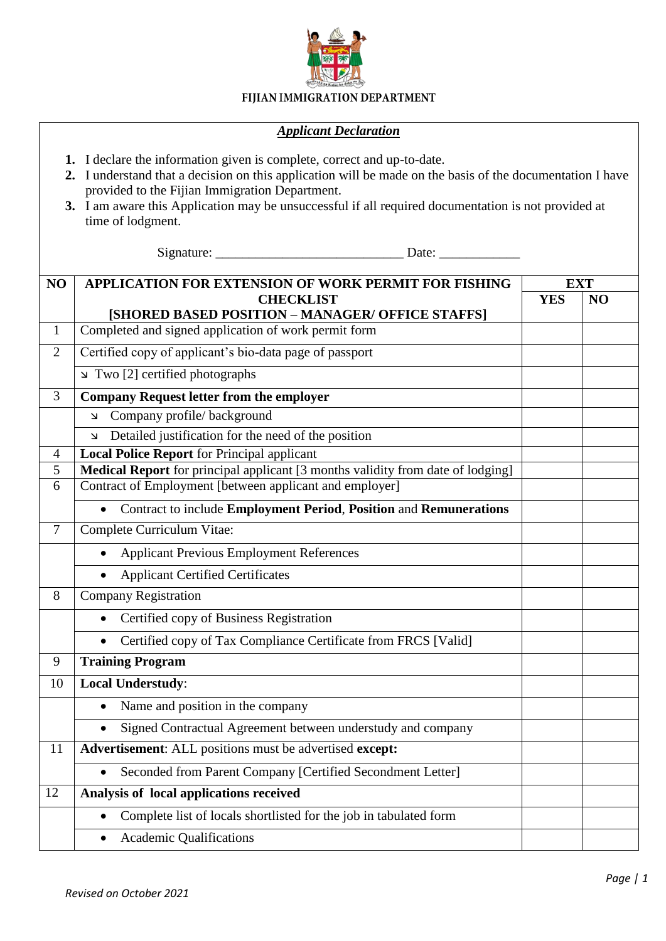

## FIJIAN IMMIGRATION DEPARTMENT

## *Applicant Declaration*

- **1.** I declare the information given is complete, correct and up-to-date.
- **2.** I understand that a decision on this application will be made on the basis of the documentation I have provided to the Fijian Immigration Department.
- **3.** I am aware this Application may be unsuccessful if all required documentation is not provided at time of lodgment.

Signature: \_\_\_\_\_\_\_\_\_\_\_\_\_\_\_\_\_\_\_\_\_\_\_\_\_\_\_\_ Date: \_\_\_\_\_\_\_\_\_\_\_\_

| NO             | <b>APPLICATION FOR EXTENSION OF WORK PERMIT FOR FISHING</b>                     | <b>EXT</b> |    |  |  |  |
|----------------|---------------------------------------------------------------------------------|------------|----|--|--|--|
|                | <b>CHECKLIST</b>                                                                | <b>YES</b> | NO |  |  |  |
|                | [SHORED BASED POSITION - MANAGER/ OFFICE STAFFS]                                |            |    |  |  |  |
| $\mathbf{1}$   | Completed and signed application of work permit form                            |            |    |  |  |  |
| $\overline{2}$ | Certified copy of applicant's bio-data page of passport                         |            |    |  |  |  |
|                | Two [2] certified photographs                                                   |            |    |  |  |  |
| 3              | <b>Company Request letter from the employer</b>                                 |            |    |  |  |  |
|                | Company profile/background<br>K                                                 |            |    |  |  |  |
|                | Detailed justification for the need of the position<br>7                        |            |    |  |  |  |
| 4              | <b>Local Police Report</b> for Principal applicant                              |            |    |  |  |  |
| 5              | Medical Report for principal applicant [3 months validity from date of lodging] |            |    |  |  |  |
|                | Contract of Employment [between applicant and employer]<br>6                    |            |    |  |  |  |
|                | Contract to include Employment Period, Position and Remunerations               |            |    |  |  |  |
| $\overline{7}$ | Complete Curriculum Vitae:                                                      |            |    |  |  |  |
|                | <b>Applicant Previous Employment References</b>                                 |            |    |  |  |  |
|                | <b>Applicant Certified Certificates</b>                                         |            |    |  |  |  |
| 8              | <b>Company Registration</b>                                                     |            |    |  |  |  |
|                | Certified copy of Business Registration                                         |            |    |  |  |  |
|                | Certified copy of Tax Compliance Certificate from FRCS [Valid]                  |            |    |  |  |  |
| 9              | <b>Training Program</b>                                                         |            |    |  |  |  |
| 10             | <b>Local Understudy:</b>                                                        |            |    |  |  |  |
|                | Name and position in the company<br>$\bullet$                                   |            |    |  |  |  |
|                | Signed Contractual Agreement between understudy and company<br>$\bullet$        |            |    |  |  |  |
| 11             | Advertisement: ALL positions must be advertised except:                         |            |    |  |  |  |
|                | Seconded from Parent Company [Certified Secondment Letter]                      |            |    |  |  |  |
| 12             | Analysis of local applications received                                         |            |    |  |  |  |
|                | Complete list of locals shortlisted for the job in tabulated form               |            |    |  |  |  |
|                | <b>Academic Qualifications</b>                                                  |            |    |  |  |  |